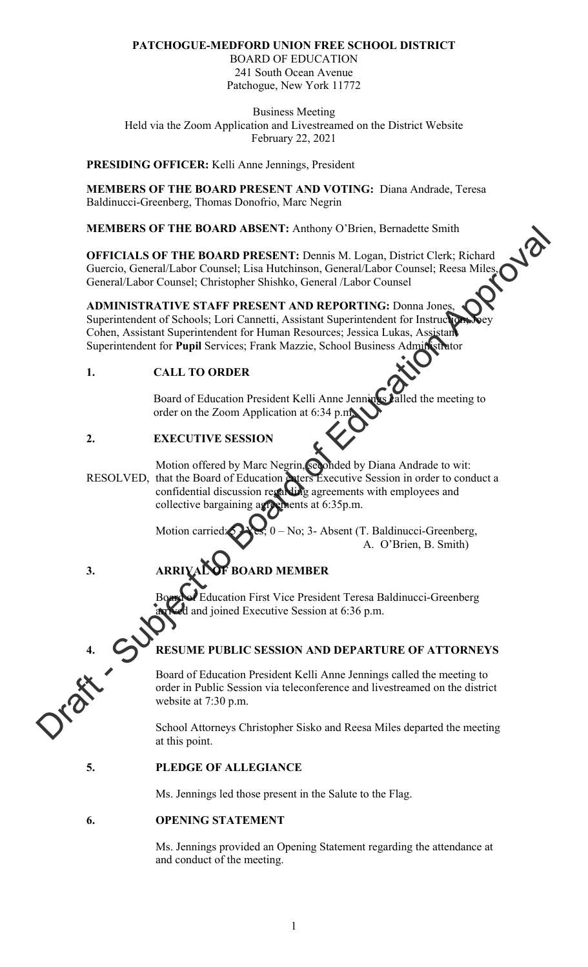# **PATCHOGUE-MEDFORD UNION FREE SCHOOL DISTRICT**

BOARD OF EDUCATION 241 South Ocean Avenue Patchogue, New York 11772

Business Meeting Held via the Zoom Application and Livestreamed on the District Website February 22, 2021

## **PRESIDING OFFICER:** Kelli Anne Jennings, President

**MEMBERS OF THE BOARD PRESENT AND VOTING:** Diana Andrade, Teresa Baldinucci-Greenberg, Thomas Donofrio, Marc Negrin

**MEMBERS OF THE BOARD ABSENT:** Anthony O'Brien, Bernadette Smith

**OFFICIALS OF THE BOARD PRESENT:** Dennis M. Logan, District Clerk; Richard Guercio, General/Labor Counsel; Lisa Hutchinson, General/Labor Counsel<sup>, D</sup>esservice General/Labor Counsel; Christopher Shiel 1. Guercio, General/Labor Counsel; Lisa Hutchinson, General/Labor Counsel; Reesa Miles, General/Labor Counsel; Christopher Shishko, General /Labor Counsel

**ADMINISTRATIVE STAFF PRESENT AND REPORTING:** Donna Jones, Superintendent of Schools; Lori Cannetti, Assistant Superintendent for Instruc Cohen, Assistant Superintendent for Human Resources; Jessica Lukas, Assistant Superintendent for **Pupil** Services; Frank Mazzie, School Business Administrator

# **1. CALL TO ORDER**

Board of Education President Kelli Anne Jennings Jalled the meeting to order on the Zoom Application at 6:34 p.m.

# **2. EXECUTIVE SESSION**

Motion offered by Marc Negrin, seconded by Diana Andrade to wit: RESOLVED, that the Board of Education enters Executive Session in order to conduct a confidential discussion regarding agreements with employees and collective bargaining agreements at 6:35p.m. WEMBERS OF THE HOARD ABSENT: Ambony O'Bren, Bernadete Smith<br>
OFFICIALS OF THE BOARD PRESENT: Demini M. Lagar, District Clerk; Richard<br>
Guerto, Granal/Labor Connest, Lisa Hutelinson, General/Labor Connest, Recas Miles<br>
Con

Motion carried:  $\sum$  Yes; 0 – No; 3- Absent (T. Baldinucci-Greenberg, A. O'Brien, B. Smith)

# **3. ARRIVAL OF BOARD MEMBER**

Education First Vice President Teresa Baldinucci-Greenberg d and joined Executive Session at  $6:36$  p.m.

# **4. RESUME PUBLIC SESSION AND DEPARTURE OF ATTORNEYS**

Board of Education President Kelli Anne Jennings called the meeting to order in Public Session via teleconference and livestreamed on the district website at 7:30 p.m.

School Attorneys Christopher Sisko and Reesa Miles departed the meeting at this point.

# **5. PLEDGE OF ALLEGIANCE**

Ms. Jennings led those present in the Salute to the Flag.

#### **6. OPENING STATEMENT**

Ms. Jennings provided an Opening Statement regarding the attendance at and conduct of the meeting.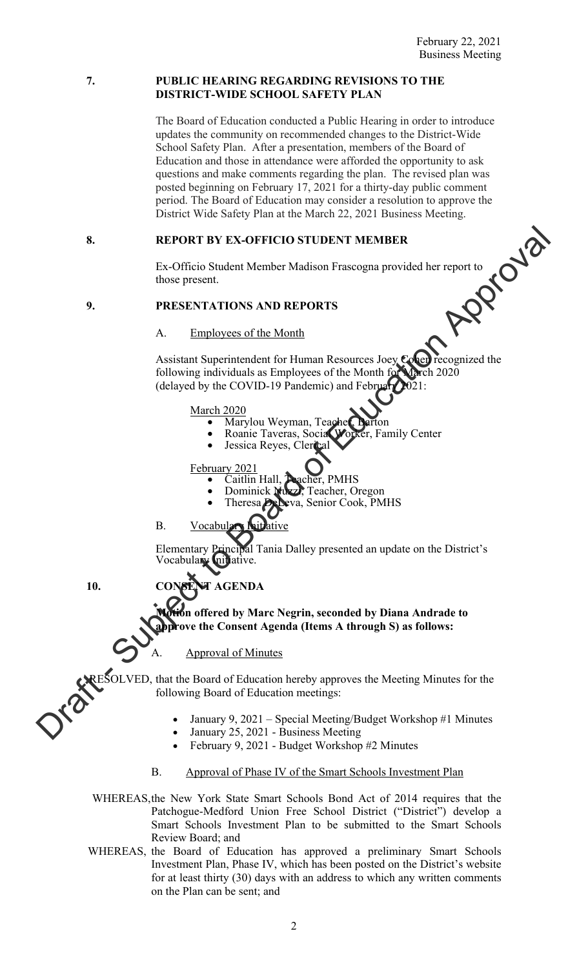#### **7. PUBLIC HEARING REGARDING REVISIONS TO THE DISTRICT-WIDE SCHOOL SAFETY PLAN**

The Board of Education conducted a Public Hearing in order to introduce updates the community on recommended changes to the District-Wide School Safety Plan. After a presentation, members of the Board of Education and those in attendance were afforded the opportunity to ask questions and make comments regarding the plan. The revised plan was posted beginning on February 17, 2021 for a thirty-day public comment period. The Board of Education may consider a resolution to approve the

### **8. REPORT BY EX-OFFICIO STUDENT MEMBER**

District Wide Safety Plan at the March 22, 2021 Business Meeting.<br> **REPORT BY EX-OFFICIO STUDENT MEMBER**<br>
Ex-Officio Student Member Madison Frascogna provided her report to<br>
those present.<br> **PRESENTATIONS AND REPORTS**<br>
A. Ex-Officio Student Member Madison Frascogna provided her report to those present.

#### **9. PRESENTATIONS AND REPORTS**

#### A. Employees of the Month

Assistant Superintendent for Human Resources Joey Cohen recognized the following individuals as Employees of the Month for March 2020 (delayed by the COVID-19 Pandemic) and February 2021: **B.** REPORT BY EX-OFFICIO STUDENT MENTRIFE<br>
Ex-Officio Student Mender Madison Frascogna provided her report to<br>
those present.<br> **PRESENTATIONS AND REPORTS**<br>
A. Employees of the Month Scottes Long three Controls and Englis

- 
- March 2020<br>
 Marylou Weyman, Teacher, Barton<br>
 Roanie Taveras, Social Worker, Family Center<br>
 Jessica Reyes, Clerical
	-

- 
- February 2021<br>
Caitlin Hall, Teacher, PMHS<br>
Dominick Nuzzi, Teacher, Oregon<br>
Theresa DeLeva, Senior Cook, PMHS
	-

# B. Vocabul

Elementary Principal Tania Dalley presented an update on the District's Vocabulary **I**nitiative

**10. CONSENT AGENDA** 

**Motion offered by Marc Negrin, seconded by Diana Andrade to approve the Consent Agenda (Items A through S) as follows:** 

#### Approval of Minutes

RESOLVED, that the Board of Education hereby approves the Meeting Minutes for the following Board of Education meetings:

- January 9, 2021 Special Meeting/Budget Workshop #1 Minutes
- January 25, 2021 Business Meeting
- February 9, 2021 Budget Workshop #2 Minutes

#### B. Approval of Phase IV of the Smart Schools Investment Plan

- WHEREAS, the New York State Smart Schools Bond Act of 2014 requires that the Patchogue-Medford Union Free School District ("District") develop a Smart Schools Investment Plan to be submitted to the Smart Schools Review Board; and
- WHEREAS, the Board of Education has approved a preliminary Smart Schools Investment Plan, Phase IV, which has been posted on the District's website for at least thirty (30) days with an address to which any written comments on the Plan can be sent; and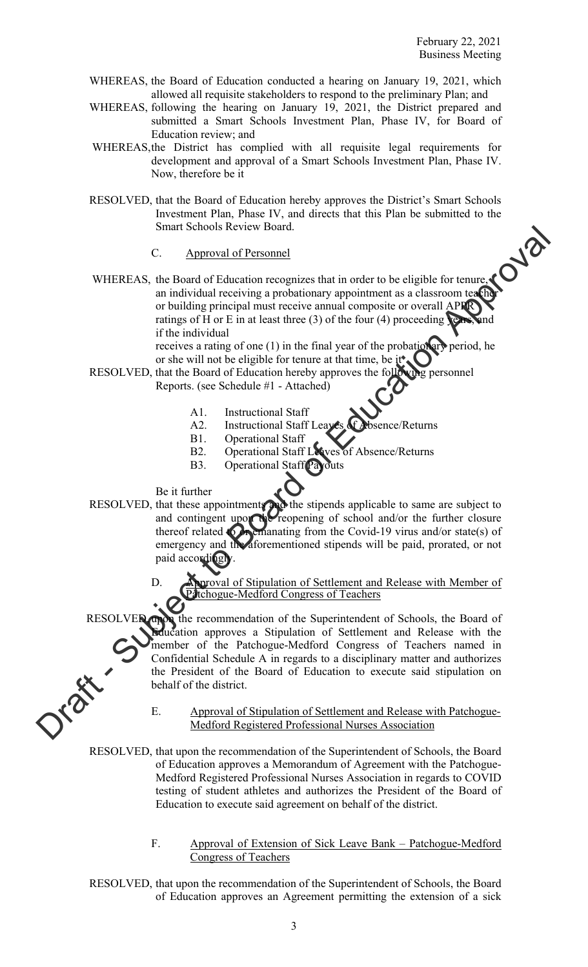- WHEREAS, the Board of Education conducted a hearing on January 19, 2021, which allowed all requisite stakeholders to respond to the preliminary Plan; and
- WHEREAS, following the hearing on January 19, 2021, the District prepared and submitted a Smart Schools Investment Plan, Phase IV, for Board of Education review; and
- WHEREAS, the District has complied with all requisite legal requirements for development and approval of a Smart Schools Investment Plan, Phase IV. Now, therefore be it
- RESOLVED, that the Board of Education hereby approves the District's Smart Schools Investment Plan, Phase IV, and directs that this Plan be submitted to the Smart Schools Review Board.
	- C. Approval of Personnel
- WHEREAS, the Board of Education recognizes that in order to be eligible for tenure, an individual receiving a probationary appointment as a classroom teacher or building principal must receive annual composite or overall APPR ratings of H or E in at least three  $(3)$  of the four  $(4)$  proceeding years, and if the individual Smitr Senons Review hourd.<br>
C. A Board of Exhibitan conceptizes that in order to be cligible for tensor CO<br>
an individual receiving a probationary appointment as a classroom to<br>
or building principal must reset to mean co

receives a rating of one  $(1)$  in the final year of the probation ary period, he or she will not be eligible for tenure at that time, be it

- RESOLVED, that the Board of Education hereby approves the following personnel Reports. (see Schedule #1 - Attached)
	- A1. Instructional Staff
	- A2. Instructional Staff Leaves of Absence/Returns
	- B1. Operational Staff
	- B2. Operational Staff Leaves of Absence/Returns
	- B3. Operational Staff Payouts
	- Be it further

behalf of the district.

- RESOLVED, that these appointments and the stipends applicable to same are subject to and contingent upon the reopening of school and/or the further closure thereof related to organizating from the Covid-19 virus and/or state(s) of emergency and the aforementioned stipends will be paid, prorated, or not paid accordingly
	- **Aproval of Stipulation of Settlement and Release with Member of** Patchogue-Medford Congress of Teachers

RESOLVED, upon the recommendation of the Superintendent of Schools, the Board of Education approves a Stipulation of Settlement and Release with the member of the Patchogue-Medford Congress of Teachers named in Confidential Schedule A in regards to a disciplinary matter and authorizes

E. Approval of Stipulation of Settlement and Release with Patchogue-Medford Registered Professional Nurses Association

the President of the Board of Education to execute said stipulation on

 RESOLVED, that upon the recommendation of the Superintendent of Schools, the Board of Education approves a Memorandum of Agreement with the Patchogue-Medford Registered Professional Nurses Association in regards to COVID testing of student athletes and authorizes the President of the Board of Education to execute said agreement on behalf of the district.

- F. Approval of Extension of Sick Leave Bank Patchogue-Medford Congress of Teachers
- RESOLVED, that upon the recommendation of the Superintendent of Schools, the Board of Education approves an Agreement permitting the extension of a sick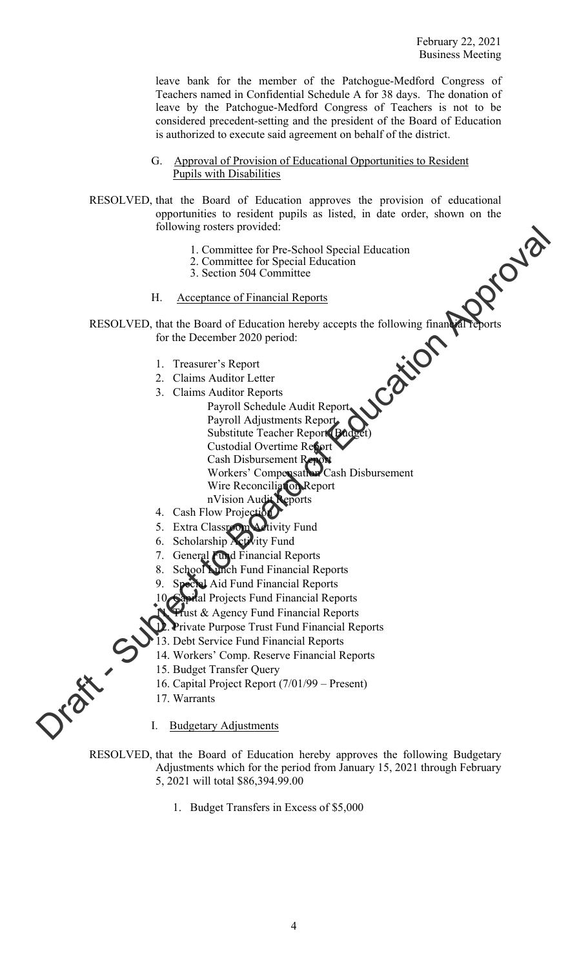leave bank for the member of the Patchogue-Medford Congress of Teachers named in Confidential Schedule A for 38 days. The donation of leave by the Patchogue-Medford Congress of Teachers is not to be considered precedent-setting and the president of the Board of Education is authorized to execute said agreement on behalf of the district.

G. Approval of Provision of Educational Opportunities to Resident Pupils with Disabilities

RESOLVED, that the Board of Education approves the provision of educational opportunities to resident pupils as listed, in date order, shown on the following rosters provided:

- 1. Committee for Pre-School Special Education
- 2. Committee for Special Education
- 3. Section 504 Committee
- H. Acceptance of Financial Reports

 RESOLVED, that the Board of Education hereby accepts the following financial reports for the December 2020 period:

- 1. Treasurer's Report
- 2. Claims Auditor Letter
- 3. Claims Auditor Reports
- Payroll Schedule Audit Report Payroll Adjustments Report Substitute Teacher Report (Budget) Custodial Overtime Report Cash Disbursement Report Workers' Compensation Cash Disbursement Wire Reconciliation Report nVision Audit Reports From the Control Special Education<br>
1. Committee for Pre-School Special Education<br>
2. Committee Control Education<br>
2. Section 504 Committee<br>
H. Acceptance of Financial Reports<br>
RESOLVED, that the Dourd of Education hereby
	- 4. Cash Flow Projection
	- 5. Extra Classroom Activity Fund
	- 6. Scholarship Activity Fund
	- 7. General Fund Financial Reports
	- School Lunch Fund Financial Reports
	- Special Aid Fund Financial Reports
	- ital Projects Fund Financial Reports
	- Trust & Agency Fund Financial Reports
	- Private Purpose Trust Fund Financial Reports
	- 13. Debt Service Fund Financial Reports
	- 14. Workers' Comp. Reserve Financial Reports
	- 15. Budget Transfer Query
	- 16. Capital Project Report (7/01/99 Present)
	- 17. Warrants

I. Budgetary Adjustments

 RESOLVED, that the Board of Education hereby approves the following Budgetary Adjustments which for the period from January 15, 2021 through February 5, 2021 will total \$86,394.99.00

1. Budget Transfers in Excess of \$5,000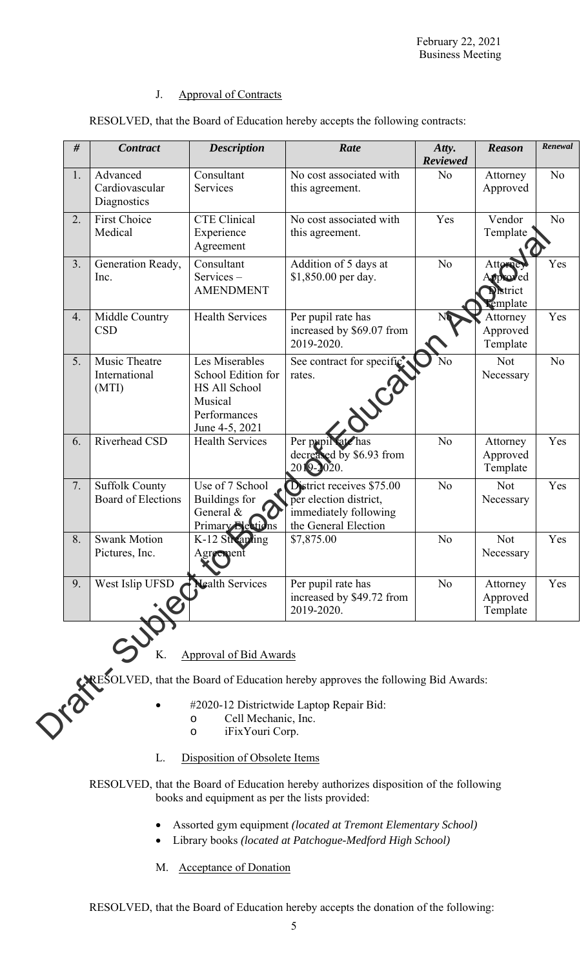## J. Approval of Contracts

| 1.<br>2.<br>3.<br>4.<br>5. | Advanced<br>Cardiovascular<br>Diagnostics<br><b>First Choice</b><br>Medical<br>Generation Ready,<br>Inc.<br>Middle Country<br><b>CSD</b> | Consultant<br>Services<br><b>CTE Clinical</b><br>Experience<br>Agreement<br>Consultant<br>Services-<br><b>AMENDMENT</b><br>Health Services | No cost associated with<br>this agreement.<br>No cost associated with<br>this agreement.<br>Addition of 5 days at<br>\$1,850.00 per day. | N <sub>o</sub><br>Yes<br>N <sub>o</sub> | Attorney<br>Approved<br>Vendor<br>Template<br>Attorney<br>Approved | No<br>N <sub>o</sub><br>Yes |
|----------------------------|------------------------------------------------------------------------------------------------------------------------------------------|--------------------------------------------------------------------------------------------------------------------------------------------|------------------------------------------------------------------------------------------------------------------------------------------|-----------------------------------------|--------------------------------------------------------------------|-----------------------------|
|                            |                                                                                                                                          |                                                                                                                                            |                                                                                                                                          |                                         |                                                                    |                             |
|                            |                                                                                                                                          |                                                                                                                                            |                                                                                                                                          |                                         |                                                                    |                             |
|                            |                                                                                                                                          |                                                                                                                                            |                                                                                                                                          |                                         | <b>District</b><br>Template                                        |                             |
|                            |                                                                                                                                          |                                                                                                                                            | Per pupil rate has<br>increased by \$69.07 from<br>2019-2020.                                                                            |                                         | Attorney<br>Approved<br>Template                                   | Yes                         |
|                            | Music Theatre<br>International<br>(MTI)                                                                                                  | Les Miserables<br>School Edition for<br>HS All School<br>Musical<br>Performances<br>June 4-5, 2021                                         | See contract for specific.<br>rates.<br>WCC                                                                                              | No                                      | Not<br>Necessary                                                   | N <sub>o</sub>              |
| 6.                         | Riverhead CSD                                                                                                                            | <b>Health Services</b>                                                                                                                     | Per pupil sate has<br>decreased by \$6.93 from<br>2019-2020.                                                                             | N <sub>o</sub>                          | Attorney<br>Approved<br>Template                                   | Yes                         |
| 7.                         | <b>Suffolk County</b><br><b>Board of Elections</b>                                                                                       | Use of 7 School<br><b>Buildings</b> for<br>General &<br>Primary Elections                                                                  | District receives \$75.00<br>per election district,<br>immediately following<br>the General Election                                     | N <sub>o</sub>                          | Not<br>Necessary                                                   | Yes                         |
| 8.                         | <b>Swank Motion</b><br>Pictures, Inc.                                                                                                    | K-12 Streaming<br>Agreement<br>X,                                                                                                          | \$7,875.00                                                                                                                               | N <sub>o</sub>                          | Not<br>Necessary                                                   | Yes                         |
| 9.                         | West Islip UFSD                                                                                                                          | Nealth Services                                                                                                                            | Per pupil rate has<br>increased by \$49.72 from<br>2019-2020.                                                                            | N <sub>o</sub>                          | Attorney<br>Approved<br>Template                                   | Yes                         |

RESOLVED, that the Board of Education hereby accepts the following contracts:

# $K.$  Approval of Bid Awards

- #2020-12 Districtwide Laptop Repair Bid:
	- o Cell Mechanic, Inc.
	- o iFixYouri Corp.
- L. Disposition of Obsolete Items

RESOLVED, that the Board of Education hereby authorizes disposition of the following books and equipment as per the lists provided:

- Assorted gym equipment *(located at Tremont Elementary School)*
- Library books *(located at Patchogue-Medford High School)*
- M. Acceptance of Donation

RESOLVED, that the Board of Education hereby accepts the donation of the following: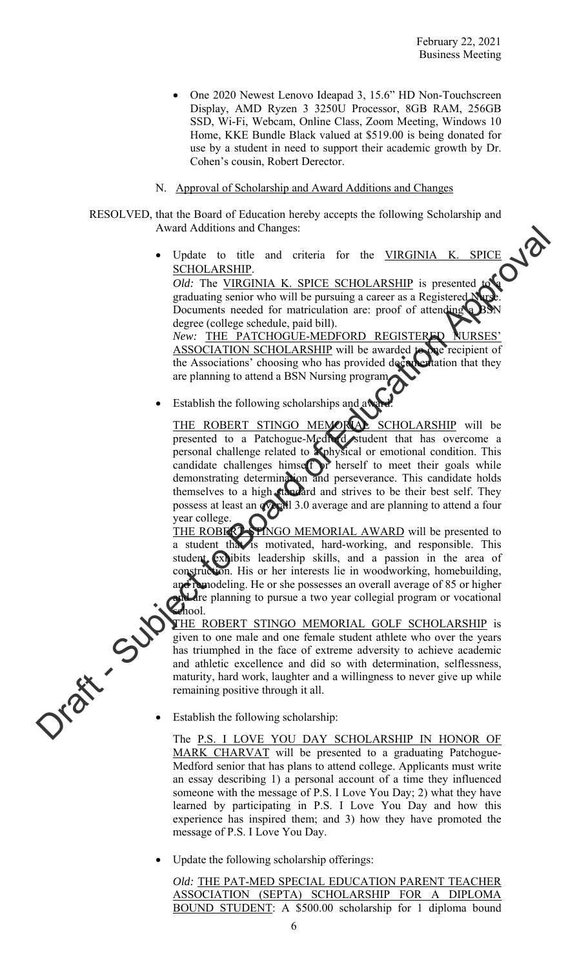- One 2020 Newest Lenovo Ideapad 3, 15.6" HD Non-Touchscreen Display, AMD Ryzen 3 3250U Processor, 8GB RAM, 256GB SSD, Wi-Fi, Webcam, Online Class, Zoom Meeting, Windows 10 Home, KKE Bundle Black valued at \$519.00 is being donated for use by a student in need to support their academic growth by Dr. Cohen's cousin, Robert Derector.
- N. Approval of Scholarship and Award Additions and Changes

 RESOLVED, that the Board of Education hereby accepts the following Scholarship and Award Additions and Changes:

> Update to title and criteria for the VIRGINIA K. SPICE SCHOLARSHIP. *Old:* The VIRGINIA K. SPICE SCHOLARSHIP is presented

graduating senior who will be pursuing a career as a Registered Documents needed for matriculation are: proof of attending degree (college schedule, paid bill).

New: THE PATCHOGUE-MEDFORD REGISTERED ASSOCIATION SCHOLARSHIP will be awarded to one recipient of the Associations' choosing who has provided documentation that they are planning to attend a BSN Nursing program.

Establish the following scholarships and away

THE ROBERT STINGO MEMORIAL SCHOLARSHIP will be presented to a Patchogue-Medford student that has overcome a personal challenge related to a physical or emotional condition. This candidate challenges himself or herself to meet their goals while demonstrating determination and perseverance. This candidate holds themselves to a high standard and strives to be their best self. They possess at least an **overall 3.0** average and are planning to attend a four year college. Award Additions and Changes:<br>
Update to this are cliential for the VIRCINIA K. SPICE  $Q/dt$  - The VIRCINIA K. SPICE SCHOLARSHIP is presented and contained section while the pulsipling a career as a Registered  $Q/dt$ .<br>
Devel

THE ROBERT STINGO MEMORIAL AWARD will be presented to a student that is motivated, hard-working, and responsible. This student exhibits leadership skills, and a passion in the area of construction. His or her interests lie in woodworking, homebuilding, and remodeling. He or she possesses an overall average of 85 or higher and are planning to pursue a two year collegial program or vocational school.

THE ROBERT STINGO MEMORIAL GOLF SCHOLARSHIP is given to one male and one female student athlete who over the years has triumphed in the face of extreme adversity to achieve academic and athletic excellence and did so with determination, selflessness, maturity, hard work, laughter and a willingness to never give up while remaining positive through it all.

Establish the following scholarship:

The P.S. I LOVE YOU DAY SCHOLARSHIP IN HONOR OF MARK CHARVAT will be presented to a graduating Patchogue-Medford senior that has plans to attend college. Applicants must write an essay describing 1) a personal account of a time they influenced someone with the message of P.S. I Love You Day; 2) what they have learned by participating in P.S. I Love You Day and how this experience has inspired them; and 3) how they have promoted the message of P.S. I Love You Day.

Update the following scholarship offerings:

*Old:* THE PAT-MED SPECIAL EDUCATION PARENT TEACHER ASSOCIATION (SEPTA) SCHOLARSHIP FOR A DIPLOMA BOUND STUDENT: A \$500.00 scholarship for 1 diploma bound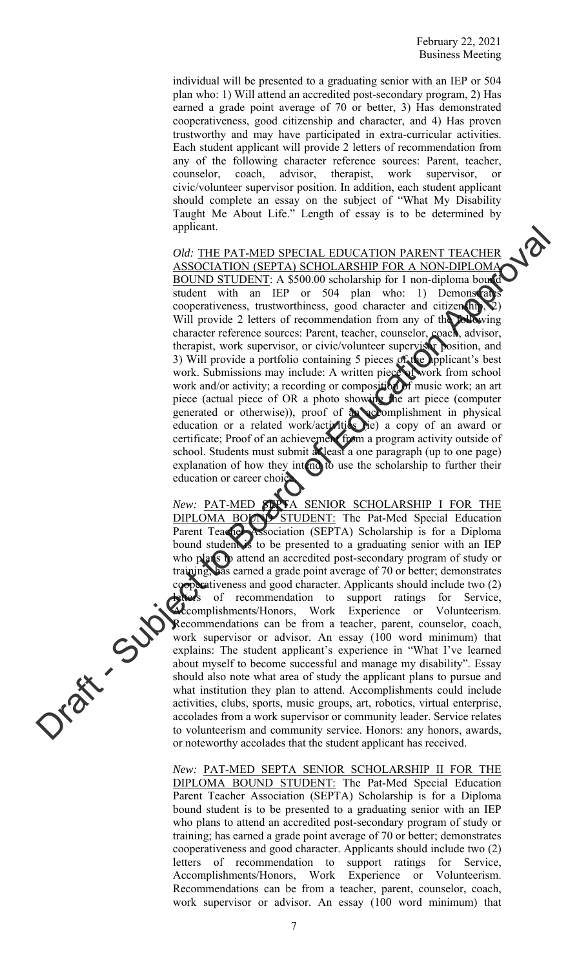individual will be presented to a graduating senior with an IEP or 504 plan who: 1) Will attend an accredited post-secondary program, 2) Has earned a grade point average of 70 or better, 3) Has demonstrated cooperativeness, good citizenship and character, and 4) Has proven trustworthy and may have participated in extra-curricular activities. Each student applicant will provide 2 letters of recommendation from any of the following character reference sources: Parent, teacher, counselor, coach, advisor, therapist, work supervisor, or civic/volunteer supervisor position. In addition, each student applicant should complete an essay on the subject of "What My Disability Taught Me About Life." Length of essay is to be determined by applicant.

*Old:* THE PAT-MED SPECIAL EDUCATION PARENT TEACHER ASSOCIATION (SEPTA) SCHOLARSHIP FOR A NON-DIPLOMA BOUND STUDENT: A \$500.00 scholarship for 1 non-diploma bound student with an IEP or 504 plan who: 1) Demonstrate cooperativeness, trustworthiness, good character and citizen hip, Will provide 2 letters of recommendation from any of the following character reference sources: Parent, teacher, counselor, coach, advisor, therapist, work supervisor, or civic/volunteer supervisor position, and 3) Will provide a portfolio containing 5 pieces of the applicant's best work. Submissions may include: A written piece of work from school work and/or activity; a recording or composition of music work; an art piece (actual piece of OR a photo showing the art piece (computer generated or otherwise)), proof of an accomplishment in physical education or a related work/activities (ie) a copy of an award or certificate; Proof of an achievement from a program activity outside of school. Students must submit at least a one paragraph (up to one page) explanation of how they intend to use the scholarship to further their education or career choice

New: PAT-MED SERTA SENIOR SCHOLARSHIP I FOR THE DIPLOMA BOUND STUDENT: The Pat-Med Special Education Parent Teacher Association (SEPTA) Scholarship is for a Diploma bound student is to be presented to a graduating senior with an IEP who plans to attend an accredited post-secondary program of study or training; has earned a grade point average of 70 or better; demonstrates cooperativeness and good character. Applicants should include two (2) lets of recommendation to support ratings for Service, **Accomplishments/Honors, Work Experience or Volunteerism.** Recommendations can be from a teacher, parent, counselor, coach, work supervisor or advisor. An essay (100 word minimum) that explains: The student applicant's experience in "What I've learned about myself to become successful and manage my disability". Essay should also note what area of study the applicant plans to pursue and what institution they plan to attend. Accomplishments could include activities, clubs, sports, music groups, art, robotics, virtual enterprise, accolades from a work supervisor or community leader. Service relates to volunteerism and community service. Honors: any honors, awards, or noteworthy accolades that the student applicant has received. ephramic Control of the PACIS CONTROL EXITION PARENT TEACHER<br>
OR OCCATION SEPTA SCHOLAISHIP FOR A NON-DIPLOMATION PARENT TEACHER<br>
2001. IS ILDENET A SUBJOR MORE TO CONTROL EXPLAINED TO A SUBJORATION SUBJORATION SUBJORATIO

> *New:* PAT-MED SEPTA SENIOR SCHOLARSHIP II FOR THE DIPLOMA BOUND STUDENT: The Pat-Med Special Education Parent Teacher Association (SEPTA) Scholarship is for a Diploma bound student is to be presented to a graduating senior with an IEP who plans to attend an accredited post-secondary program of study or training; has earned a grade point average of 70 or better; demonstrates cooperativeness and good character. Applicants should include two (2) letters of recommendation to support ratings for Service, Accomplishments/Honors, Work Experience or Volunteerism. Recommendations can be from a teacher, parent, counselor, coach, work supervisor or advisor. An essay (100 word minimum) that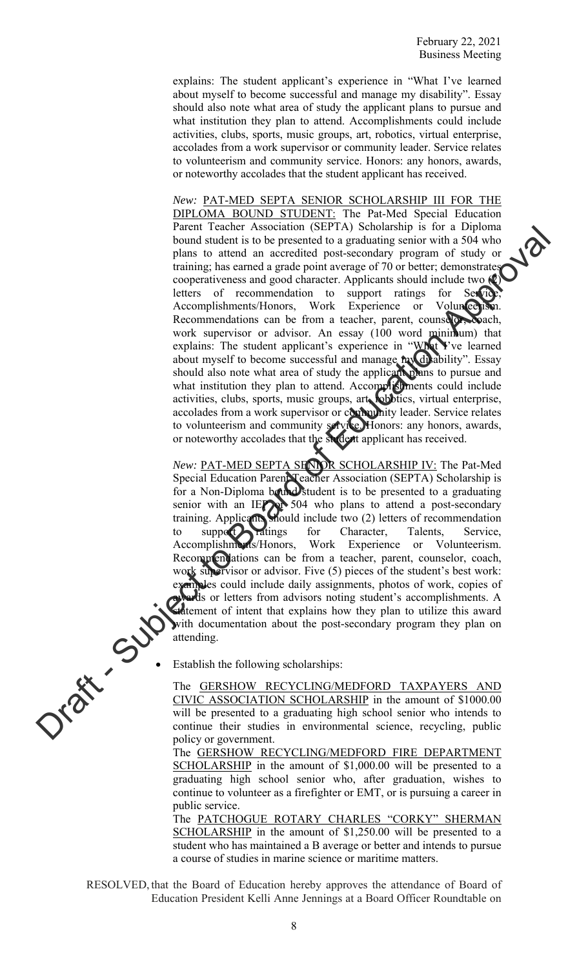explains: The student applicant's experience in "What I've learned about myself to become successful and manage my disability". Essay should also note what area of study the applicant plans to pursue and what institution they plan to attend. Accomplishments could include activities, clubs, sports, music groups, art, robotics, virtual enterprise, accolades from a work supervisor or community leader. Service relates to volunteerism and community service. Honors: any honors, awards, or noteworthy accolades that the student applicant has received.

*New:* PAT-MED SEPTA SENIOR SCHOLARSHIP III FOR THE DIPLOMA BOUND STUDENT: The Pat-Med Special Education Parent Teacher Association (SEPTA) Scholarship is for a Diploma bound student is to be presented to a graduating senior with a 504 who plans to attend an accredited post-secondary program of study or training; has earned a grade point average of 70 or better; demonstrates cooperativeness and good character. Applicants should include two (2) letters of recommendation to support ratings for Service Accomplishments/Honors, Work Experience or Volunce is Recommendations can be from a teacher, parent, counselor, coach, work supervisor or advisor. An essay (100 word minimum) that explains: The student applicant's experience in "What Y've learned about myself to become successful and manage my disability". Essay should also note what area of study the applicant plans to pursue and what institution they plan to attend. Accomplishments could include activities, clubs, sports, music groups, art, robotics, virtual enterprise, accolades from a work supervisor or community leader. Service relates to volunteerism and community service. Honors: any honors, awards, or noteworthy accolades that the student applicant has received. Figure 1 Factor Associates that is a control of the system and the control of the system of the system of the system of the system of the system of the system of the system of the system of the system of the system of the

*New:* PAT-MED SEPTA SENIOR SCHOLARSHIP IV: The Pat-Med Special Education Parent Teacher Association (SEPTA) Scholarship is for a Non-Diploma bound student is to be presented to a graduating senior with an IEP or 504 who plans to attend a post-secondary training. Applicants should include two (2) letters of recommendation to support ratings for Character, Talents, Service, Accomplishments/Honors, Work Experience or Volunteerism. Recommendations can be from a teacher, parent, counselor, coach, work supervisor or advisor. Five (5) pieces of the student's best work: examples could include daily assignments, photos of work, copies of wards or letters from advisors noting student's accomplishments. A **Culture** of intent that explains how they plan to utilize this award with documentation about the post-secondary program they plan on attending.

Establish the following scholarships:<br>
The <u>GERSHOW RECANCE CIVIC ASSOC</u> The GERSHOW RECYCLING/MEDFORD TAXPAYERS AND CIVIC ASSOCIATION SCHOLARSHIP in the amount of \$1000.00 will be presented to a graduating high school senior who intends to continue their studies in environmental science, recycling, public policy or government.

The GERSHOW RECYCLING/MEDFORD FIRE DEPARTMENT SCHOLARSHIP in the amount of \$1,000.00 will be presented to a graduating high school senior who, after graduation, wishes to continue to volunteer as a firefighter or EMT, or is pursuing a career in public service.

The PATCHOGUE ROTARY CHARLES "CORKY" SHERMAN SCHOLARSHIP in the amount of \$1,250.00 will be presented to a student who has maintained a B average or better and intends to pursue a course of studies in marine science or maritime matters.

RESOLVED, that the Board of Education hereby approves the attendance of Board of Education President Kelli Anne Jennings at a Board Officer Roundtable on



8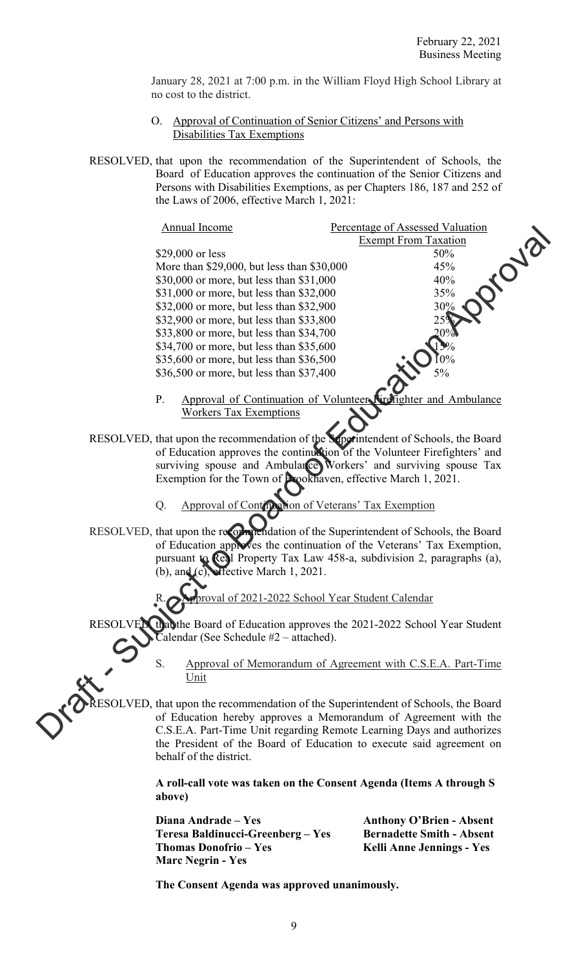January 28, 2021 at 7:00 p.m. in the William Floyd High School Library at no cost to the district.

- O. Approval of Continuation of Senior Citizens' and Persons with Disabilities Tax Exemptions
- RESOLVED, that upon the recommendation of the Superintendent of Schools, the Board of Education approves the continuation of the Senior Citizens and Persons with Disabilities Exemptions, as per Chapters 186, 187 and 252 of the Laws of 2006, effective March 1, 2021:

| Annual Income                                                                        | Percentage of Assessed Valuation                                          |
|--------------------------------------------------------------------------------------|---------------------------------------------------------------------------|
|                                                                                      | <b>Exempt From Taxation</b><br><b>PUB</b>                                 |
| \$29,000 or less                                                                     | 50%                                                                       |
| More than \$29,000, but less than \$30,000                                           | 45%                                                                       |
| \$30,000 or more, but less than \$31,000                                             | 40%                                                                       |
| \$31,000 or more, but less than \$32,000                                             | 35%                                                                       |
| \$32,000 or more, but less than \$32,900                                             | 30%                                                                       |
| \$32,900 or more, but less than \$33,800                                             | 25%                                                                       |
| \$33,800 or more, but less than \$34,700                                             | 20%                                                                       |
| \$34,700 or more, but less than \$35,600                                             |                                                                           |
| \$35,600 or more, but less than \$36,500                                             | $0\%$                                                                     |
| \$36,500 or more, but less than \$37,400                                             | 5%                                                                        |
| P.                                                                                   | Approval of Continuation of Volunteer Nirefighter and Ambulance           |
| <b>Workers Tax Exemptions</b>                                                        |                                                                           |
| RESOLVED, that upon the recommendation of the Superintendent of Schools, the Board   |                                                                           |
|                                                                                      | of Education approves the continuation of the Volunteer Firefighters' and |
|                                                                                      | surviving spouse and Ambularce Workers' and surviving spouse Tax          |
|                                                                                      | Exemption for the Town of Prookhaven, effective March 1, 2021.            |
|                                                                                      |                                                                           |
| Q.                                                                                   | Approval of Continuation of Veterans' Tax Exemption                       |
|                                                                                      |                                                                           |
| RESOLVED, that upon the recorn neidation of the Superintendent of Schools, the Board |                                                                           |
|                                                                                      | of Education approves the continuation of the Veterans' Tax Exemption,    |
|                                                                                      | pursuant to Real Property Tax Law 458-a, subdivision 2, paragraphs (a),   |
| (b), and (c), effective March 1, 2021.                                               |                                                                           |
|                                                                                      |                                                                           |
|                                                                                      | proval of 2021-2022 School Year Student Calendar                          |
| RESOLVEX that the Board of Education approves the 2021-2022 School Year Student      |                                                                           |
| Calendar (See Schedule #2 – attached).                                               |                                                                           |
|                                                                                      |                                                                           |
| S.                                                                                   | Approval of Memorandum of Agreement with C.S.E.A. Part-Time               |
| Unit                                                                                 |                                                                           |
|                                                                                      |                                                                           |
| RESOLVED, that upon the recommendation of the Superintendent of Schools, the Board   |                                                                           |
|                                                                                      | of Education hereby approves a Memorandum of Agreement with the           |
|                                                                                      | C.S.E.A. Part-Time Unit regarding Remote Learning Days and authorizes     |

- P. Approval of Continuation of Workers Tax Exemptions
- RESOLVED, that upon the recommendation of the Superintendent of Schools, the Board of Education approves the continuation of the Volunteer Firefighters' and surviving spouse and Ambulance Workers' and surviving spouse Tax Exemption for the Town of Brookhaven, effective March 1, 2021.
	- Q. Approval of Continuation of Veterans' Tax Exemption
- RESOLVED, that upon the recommendation of the Superintendent of Schools, the Board of Education approves the continuation of the Veterans' Tax Exemption, pursuant to Real Property Tax Law 458-a, subdivision 2, paragraphs (a), (b), and (c), effective March 1, 2021.
	- of 2021-2022 School Year Student Calendar
- RESOLVED, that the Board of Education approves the 2021-2022 School Year Student Calendar (See Schedule #2 – attached).
	- S. Approval of Memorandum of Agreement with C.S.E.A. Part-Time Unit

RESOLVED, that upon the recommendation of the Superintendent of Schools, the Board of Education hereby approves a Memorandum of Agreement with the C.S.E.A. Part-Time Unit regarding Remote Learning Days and authorizes the President of the Board of Education to execute said agreement on behalf of the district.

> **A roll-call vote was taken on the Consent Agenda (Items A through S above)**

| Diana Andrade – Yes               | <b>Anthony O'Brien - Absent</b>  |
|-----------------------------------|----------------------------------|
| Teresa Baldinucci-Greenberg – Yes | <b>Bernadette Smith - Absent</b> |
| Thomas Donofrio – Yes             | Kelli Anne Jennings - Yes        |
| <b>Marc Negrin - Yes</b>          |                                  |

 **The Consent Agenda was approved unanimously.**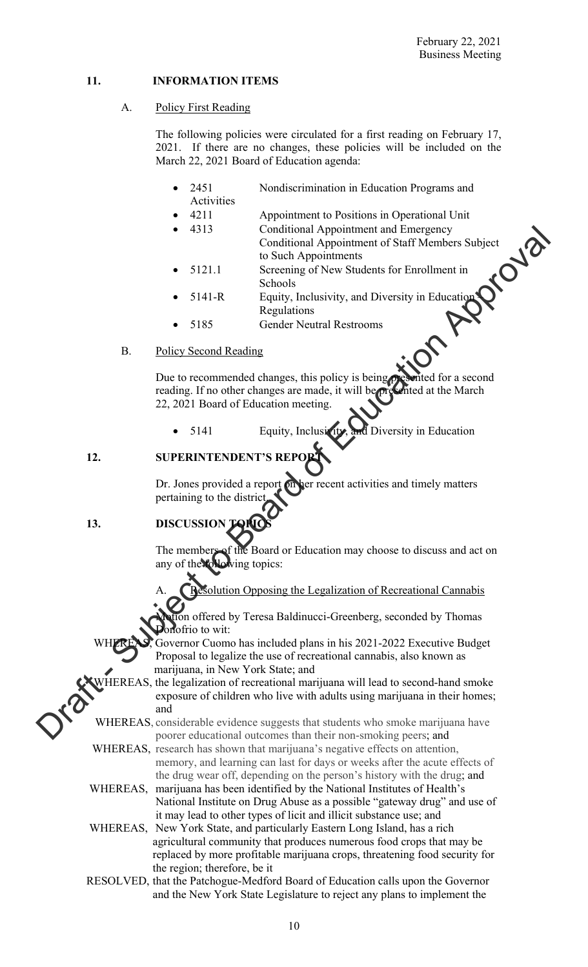# **11. INFORMATION ITEMS**

# A. Policy First Reading

The following policies were circulated for a first reading on February 17, 2021. If there are no changes, these policies will be included on the March 22, 2021 Board of Education agenda:

- 2451 Nondiscrimination in Education Programs and Activities
- 4211 Appointment to Positions in Operational Unit
- 4313 Conditional Appointment and Emergency Conditional Appointment of Staff Members Subject to Such Appointments
- 5121.1 Screening of New Students for Enrollment in Schools
- 5141-R Equity, Inclusivity, and Diversity in Education **Regulations**
- 5185 Gender Neutral Restrooms

### B. Policy Second Reading

Due to recommended changes, this policy is being presented for a second reading. If no other changes are made, it will be presented at the March 22, 2021 Board of Education meeting.

5141 Equity, Inclusivity, and Diversity in Education

# **12. SUPERINTENDENT**

Dr. Jones provided a report on her recent activities and timely matters pertaining to the distric

# 13. **DISCUSSION TOPICS**

The members of the Board or Education may choose to discuss and act on any of the **following** topics:

ution Opposing the Legalization of Recreational Cannabis

on offered by Teresa Baldinucci-Greenberg, seconded by Thomas nofrio to wit:

Governor Cuomo has included plans in his 2021-2022 Executive Budget Proposal to legalize the use of recreational cannabis, also known as marijuana, in New York State; and

 WHEREAS, the legalization of recreational marijuana will lead to second-hand smoke exposure of children who live with adults using marijuana in their homes; and Conditional Appointment of Entropy<br>
Conditional Appointment of Staff Members Subject<br>
1986 Appointment in<br>
Streening of New Sudents for Emrollment in<br>
Streening of New Sudents for Emrollment in<br>
1987 Apple Content Reading<br>

 WHEREAS, considerable evidence suggests that students who smoke marijuana have poorer educational outcomes than their non-smoking peers; and

 WHEREAS, research has shown that marijuana's negative effects on attention, memory, and learning can last for days or weeks after the acute effects of the drug wear off, depending on the person's history with the drug; and

WHEREAS, marijuana has been identified by the National Institutes of Health's National Institute on Drug Abuse as a possible "gateway drug" and use of it may lead to other types of licit and illicit substance use; and

 WHEREAS, New York State, and particularly Eastern Long Island, has a rich agricultural community that produces numerous food crops that may be replaced by more profitable marijuana crops, threatening food security for the region; therefore, be it

RESOLVED, that the Patchogue-Medford Board of Education calls upon the Governor and the New York State Legislature to reject any plans to implement the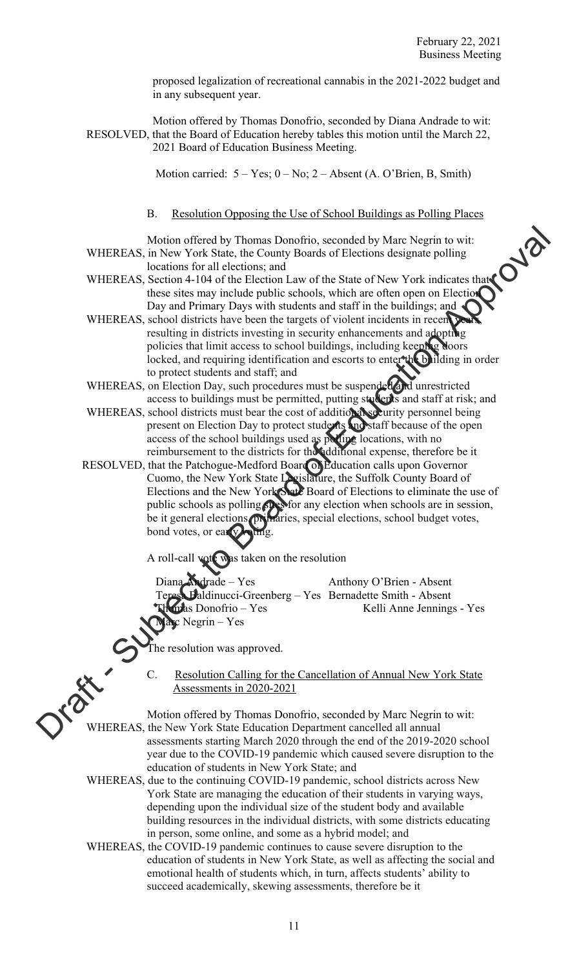proposed legalization of recreational cannabis in the 2021-2022 budget and in any subsequent year.

 Motion offered by Thomas Donofrio, seconded by Diana Andrade to wit: RESOLVED, that the Board of Education hereby tables this motion until the March 22, 2021 Board of Education Business Meeting.

Motion carried:  $5 - Yes$ ;  $0 - No$ ;  $2 - Absent$  (A. O'Brien, B, Smith)

B. Resolution Opposing the Use of School Buildings as Polling Places

 Motion offered by Thomas Donofrio, seconded by Marc Negrin to wit: WHEREAS, in New York State, the County Boards of Elections designate polling locations for all elections; and

- WHEREAS, Section 4-104 of the Election Law of the State of New York indicates that these sites may include public schools, which are often open on Election Day and Primary Days with students and staff in the buildings; and
- WHEREAS, school districts have been the targets of violent incidents in recent resulting in districts investing in security enhancements and adopting policies that limit access to school buildings, including keeping doors locked, and requiring identification and escorts to enter the building in order to protect students and staff; and
- WHEREAS, on Election Day, such procedures must be suspended and unrestricted access to buildings must be permitted, putting students and staff at risk; and
- WHEREAS, school districts must bear the cost of additional security personnel being present on Election Day to protect students and staff because of the open access of the school buildings used as polling locations, with no reimbursement to the districts for the additional expense, therefore be it

RESOLVED, that the Patchogue-Medford Board of Education calls upon Governor Cuomo, the New York State Legislature, the Suffolk County Board of Elections and the New York State Board of Elections to eliminate the use of public schools as polling  $\Omega$  sy for any election when schools are in session, be it general elections, primaries, special elections, school budget votes, bond votes, or early voting. WHEREAS, in North Statistics, the County Board of Elections and the Variable Christian and the Christian Christian Christian Christian Christian School and the Christian School districts the Subsection Approximates the Su

A roll-call vote was taken on the resolution

Diana Andrade – Yes Anthony O'Brien - Absent Baldinucci-Greenberg – Yes Bernadette Smith - Absent pas Donofrio – Yes Kelli Anne Jennings - Yes  $Negrin - Yes$ 

The resolution was approved.

 C. Resolution Calling for the Cancellation of Annual New York State Assessments in 2020-2021

 Motion offered by Thomas Donofrio, seconded by Marc Negrin to wit: WHEREAS, the New York State Education Department cancelled all annual assessments starting March 2020 through the end of the 2019-2020 school year due to the COVID-19 pandemic which caused severe disruption to the education of students in New York State; and

- WHEREAS, due to the continuing COVID-19 pandemic, school districts across New York State are managing the education of their students in varying ways, depending upon the individual size of the student body and available building resources in the individual districts, with some districts educating in person, some online, and some as a hybrid model; and
- WHEREAS, the COVID-19 pandemic continues to cause severe disruption to the education of students in New York State, as well as affecting the social and emotional health of students which, in turn, affects students' ability to succeed academically, skewing assessments, therefore be it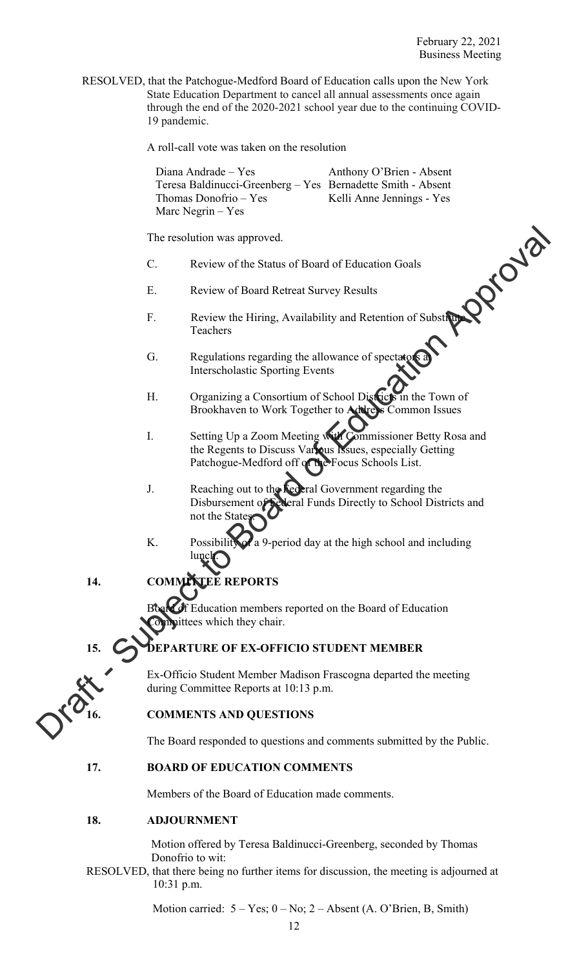RESOLVED, that the Patchogue-Medford Board of Education calls upon the New York State Education Department to cancel all annual assessments once again through the end of the 2020-2021 school year due to the continuing COVID-19 pandemic.

A roll-call vote was taken on the resolution

Diana Andrade – Yes Anthony O'Brien - Absent Teresa Baldinucci-Greenberg – Yes Bernadette Smith - Absent Thomas Donofrio – Yes Kelli Anne Jennings - Yes Marc Negrin – Yes

The resolution was approved.

- C. Review of the Status of Board of Education Goals
- E. Review of Board Retreat Survey Results
- F. Review the Hiring, Availability and Retention of Substitute Teachers
- G. Regulations regarding the allowance of spectators and Interscholastic Sporting Events
- H. Organizing a Consortium of School Districts in the Town of Brookhaven to Work Together to Address Common Issues
- I. Setting Up a Zoom Meeting with Commissioner Betty Rosa and the Regents to Discuss Various Issues, especially Getting Patchogue-Medford off of the Focus Schools List.
- J. Reaching out to the **Federal Government regarding the** Disbursement of Federal Funds Directly to School Districts and not the State The resolution was approved.<br>
C. Review of Board Afracta of Fiducation Goals<br>
E. Review of Board Retecat Survey Results<br>
F. Review the Hitting, Availability and Retecation of Substitute<br>
F. Regulations regarding the allow
	- K. Possibility of a 9-period day at the high school and including lunch.
	- **14. COMMITTEE REPORTS**

f Education members reported on the Board of Education ittees which they chair.

# **PARTURE OF EX-OFFICIO STUDENT MEMBER**

Ex-Officio Student Member Madison Frascogna departed the meeting during Committee Reports at 10:13 p.m.

# **16. COMMENTS AND QUESTIONS**

The Board responded to questions and comments submitted by the Public.

# **17. BOARD OF EDUCATION COMMENTS**

Members of the Board of Education made comments.

# **18. ADJOURNMENT**

Motion offered by Teresa Baldinucci-Greenberg, seconded by Thomas Donofrio to wit:

RESOLVED, that there being no further items for discussion, the meeting is adjourned at 10:31 p.m.

Motion carried:  $5 - Yes$ ;  $0 - No$ ;  $2 - Absent$  (A. O'Brien, B, Smith)